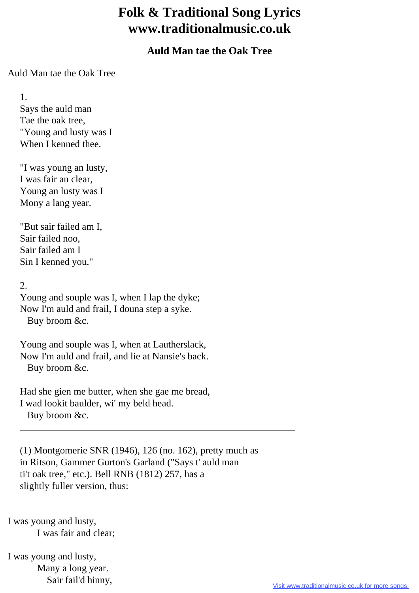## **Folk & Traditional Song Lyrics www.traditionalmusic.co.uk**

## **Auld Man tae the Oak Tree**

Auld Man tae the Oak Tree

 1. Says the auld man Tae the oak tree, "Young and lusty was I When I kenned thee.

 "I was young an lusty, I was fair an clear, Young an lusty was I Mony a lang year.

 "But sair failed am I, Sair failed noo, Sair failed am I Sin I kenned you."

2.

 Young and souple was I, when I lap the dyke; Now I'm auld and frail, I douna step a syke. Buy broom &c.

 Young and souple was I, when at Lautherslack, Now I'm auld and frail, and lie at Nansie's back. Buy broom &c.

 Had she gien me butter, when she gae me bread, I wad lookit baulder, wi' my beld head. Buy broom &c.

 (1) Montgomerie SNR (1946), 126 (no. 162), pretty much as in Ritson, Gammer Gurton's Garland ("Says t' auld man ti't oak tree," etc.). Bell RNB (1812) 257, has a slightly fuller version, thus:

\_\_\_\_\_\_\_\_\_\_\_\_\_\_\_\_\_\_\_\_\_\_\_\_\_\_\_\_\_\_\_\_\_\_\_\_\_\_\_\_\_\_\_\_\_\_\_\_\_\_\_\_\_\_\_\_

I was young and lusty, I was fair and clear;

I was young and lusty, Many a long year. Sair fail'd hinny,